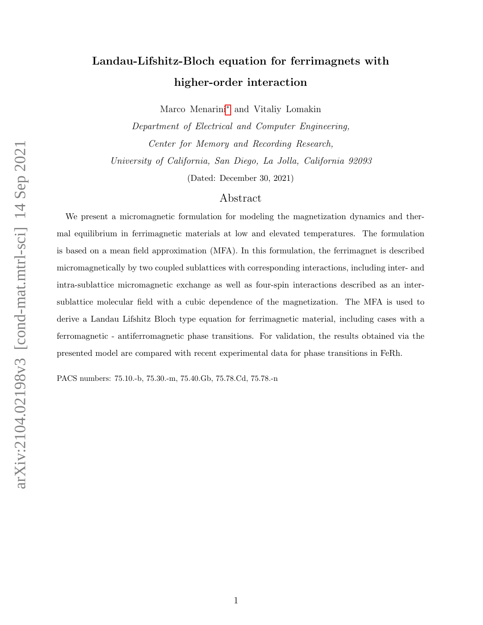# Landau-Lifshitz-Bloch equation for ferrimagnets with higher-order interaction

Marco Menarini[∗](#page-18-0) and Vitaliy Lomakin

Department of Electrical and Computer Engineering, Center for Memory and Recording Research, University of California, San Diego, La Jolla, California 92093

(Dated: December 30, 2021)

### Abstract

We present a micromagnetic formulation for modeling the magnetization dynamics and thermal equilibrium in ferrimagnetic materials at low and elevated temperatures. The formulation is based on a mean field approximation (MFA). In this formulation, the ferrimagnet is described micromagnetically by two coupled sublattices with corresponding interactions, including inter- and intra-sublattice micromagnetic exchange as well as four-spin interactions described as an intersublattice molecular field with a cubic dependence of the magnetization. The MFA is used to derive a Landau Lifshitz Bloch type equation for ferrimagnetic material, including cases with a ferromagnetic - antiferromagnetic phase transitions. For validation, the results obtained via the presented model are compared with recent experimental data for phase transitions in FeRh.

PACS numbers: 75.10.-b, 75.30.-m, 75.40.Gb, 75.78.Cd, 75.78.-n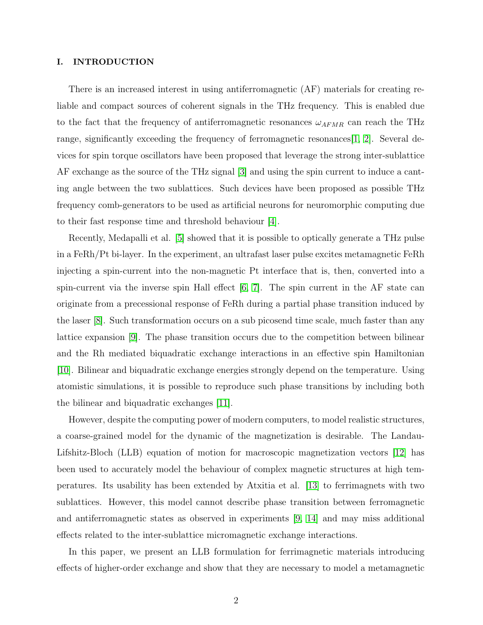#### I. INTRODUCTION

There is an increased interest in using antiferromagnetic (AF) materials for creating reliable and compact sources of coherent signals in the THz frequency. This is enabled due to the fact that the frequency of antiferromagnetic resonances  $\omega_{AFMR}$  can reach the THz range, significantly exceeding the frequency of ferromagnetic resonances  $[1, 2]$  $[1, 2]$ . Several devices for spin torque oscillators have been proposed that leverage the strong inter-sublattice AF exchange as the source of the THz signal [\[3\]](#page-18-3) and using the spin current to induce a canting angle between the two sublattices. Such devices have been proposed as possible THz frequency comb-generators to be used as artificial neurons for neuromorphic computing due to their fast response time and threshold behaviour [\[4\]](#page-18-4).

Recently, Medapalli et al. [\[5\]](#page-18-5) showed that it is possible to optically generate a THz pulse in a FeRh/Pt bi-layer. In the experiment, an ultrafast laser pulse excites metamagnetic FeRh injecting a spin-current into the non-magnetic Pt interface that is, then, converted into a spin-current via the inverse spin Hall effect  $[6, 7]$  $[6, 7]$ . The spin current in the AF state can originate from a precessional response of FeRh during a partial phase transition induced by the laser [\[8\]](#page-18-8). Such transformation occurs on a sub picosend time scale, much faster than any lattice expansion [\[9\]](#page-18-9). The phase transition occurs due to the competition between bilinear and the Rh mediated biquadratic exchange interactions in an effective spin Hamiltonian [\[10\]](#page-18-10). Bilinear and biquadratic exchange energies strongly depend on the temperature. Using atomistic simulations, it is possible to reproduce such phase transitions by including both the bilinear and biquadratic exchanges [\[11\]](#page-18-11).

However, despite the computing power of modern computers, to model realistic structures, a coarse-grained model for the dynamic of the magnetization is desirable. The Landau-Lifshitz-Bloch (LLB) equation of motion for macroscopic magnetization vectors [\[12\]](#page-18-12) has been used to accurately model the behaviour of complex magnetic structures at high temperatures. Its usability has been extended by Atxitia et al. [\[13\]](#page-18-13) to ferrimagnets with two sublattices. However, this model cannot describe phase transition between ferromagnetic and antiferromagnetic states as observed in experiments [\[9,](#page-18-9) [14\]](#page-18-14) and may miss additional effects related to the inter-sublattice micromagnetic exchange interactions.

In this paper, we present an LLB formulation for ferrimagnetic materials introducing effects of higher-order exchange and show that they are necessary to model a metamagnetic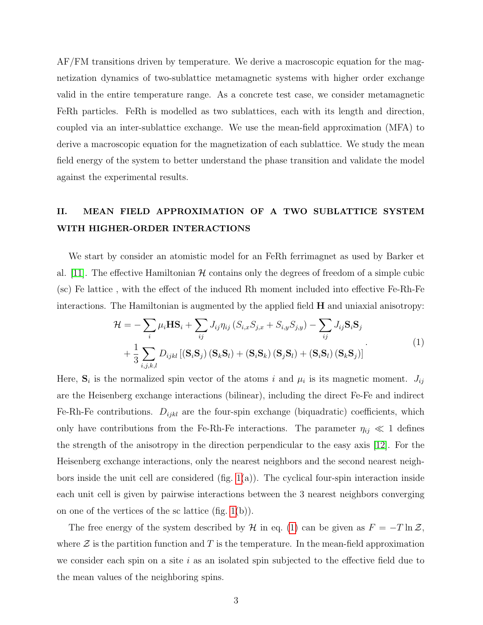AF/FM transitions driven by temperature. We derive a macroscopic equation for the magnetization dynamics of two-sublattice metamagnetic systems with higher order exchange valid in the entire temperature range. As a concrete test case, we consider metamagnetic FeRh particles. FeRh is modelled as two sublattices, each with its length and direction, coupled via an inter-sublattice exchange. We use the mean-field approximation (MFA) to derive a macroscopic equation for the magnetization of each sublattice. We study the mean field energy of the system to better understand the phase transition and validate the model against the experimental results.

## <span id="page-2-1"></span>II. MEAN FIELD APPROXIMATION OF A TWO SUBLATTICE SYSTEM WITH HIGHER-ORDER INTERACTIONS

We start by consider an atomistic model for an FeRh ferrimagnet as used by Barker et al. [\[11\]](#page-18-11). The effective Hamiltonian  $H$  contains only the degrees of freedom of a simple cubic (sc) Fe lattice , with the effect of the induced Rh moment included into effective Fe-Rh-Fe interactions. The Hamiltonian is augmented by the applied field  $H$  and uniaxial anisotropy:

$$
\mathcal{H} = -\sum_{i} \mu_{i} \mathbf{H} \mathbf{S}_{i} + \sum_{ij} J_{ij} \eta_{ij} \left( S_{i,x} S_{j,x} + S_{i,y} S_{j,y} \right) - \sum_{ij} J_{ij} \mathbf{S}_{i} \mathbf{S}_{j} \n+ \frac{1}{3} \sum_{i,j,k,l} D_{ijkl} \left[ \left( \mathbf{S}_{i} \mathbf{S}_{j} \right) \left( \mathbf{S}_{k} \mathbf{S}_{l} \right) + \left( \mathbf{S}_{i} \mathbf{S}_{k} \right) \left( \mathbf{S}_{j} \mathbf{S}_{l} \right) + \left( \mathbf{S}_{i} \mathbf{S}_{l} \right) \left( \mathbf{S}_{k} \mathbf{S}_{j} \right) \right]
$$
\n(1)

<span id="page-2-0"></span>Here,  $S_i$  is the normalized spin vector of the atoms i and  $\mu_i$  is its magnetic moment.  $J_{ij}$ are the Heisenberg exchange interactions (bilinear), including the direct Fe-Fe and indirect Fe-Rh-Fe contributions.  $D_{ijkl}$  are the four-spin exchange (biquadratic) coefficients, which only have contributions from the Fe-Rh-Fe interactions. The parameter  $\eta_{ij} \ll 1$  defines the strength of the anisotropy in the direction perpendicular to the easy axis [\[12\]](#page-18-12). For the Heisenberg exchange interactions, only the nearest neighbors and the second nearest neighbors inside the unit cell are considered  $(f_1g_1(a))$ . The cyclical four-spin interaction inside each unit cell is given by pairwise interactions between the 3 nearest neighbors converging on one of the vertices of the sc lattice (fig. [1\(](#page-3-0)b)).

The free energy of the system described by H in eq. [\(1\)](#page-2-0) can be given as  $F = -T \ln \mathcal{Z}$ , where  $\mathcal Z$  is the partition function and T is the temperature. In the mean-field approximation we consider each spin on a site i as an isolated spin subjected to the effective field due to the mean values of the neighboring spins.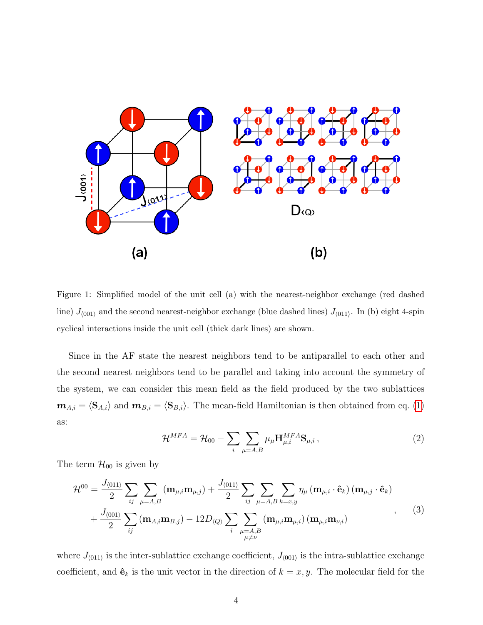

<span id="page-3-0"></span>Figure 1: Simplified model of the unit cell (a) with the nearest-neighbor exchange (red dashed line)  $J_{(001)}$  and the second nearest-neighbor exchange (blue dashed lines)  $J_{(011)}$ . In (b) eight 4-spin cyclical interactions inside the unit cell (thick dark lines) are shown.

Since in the AF state the nearest neighbors tend to be antiparallel to each other and the second nearest neighbors tend to be parallel and taking into account the symmetry of the system, we can consider this mean field as the field produced by the two sublattices  $m_{A,i} = \langle S_{A,i} \rangle$  and  $m_{B,i} = \langle S_{B,i} \rangle$ . The mean-field Hamiltonian is then obtained from eq. [\(1\)](#page-2-0) as:

<span id="page-3-1"></span>
$$
\mathcal{H}^{MFA} = \mathcal{H}_{00} - \sum_{i} \sum_{\mu=A,B} \mu_{\mu} \mathbf{H}^{MFA}_{\mu,i} \mathbf{S}_{\mu,i},
$$
\n(2)

The term  $\mathcal{H}_{00}$  is given by

<span id="page-3-2"></span>
$$
\mathcal{H}^{00} = \frac{J_{\langle 011\rangle}}{2} \sum_{ij} \sum_{\mu=A,B} (\mathbf{m}_{\mu,i} \mathbf{m}_{\mu,j}) + \frac{J_{\langle 011\rangle}}{2} \sum_{ij} \sum_{\mu=A,B} \sum_{k=x,y} \eta_{\mu} (\mathbf{m}_{\mu,i} \cdot \hat{\mathbf{e}}_k) (\mathbf{m}_{\mu,j} \cdot \hat{\mathbf{e}}_k) + \frac{J_{\langle 001\rangle}}{2} \sum_{ij} (\mathbf{m}_{A,i} \mathbf{m}_{B,j}) - 12D_{\langle Q \rangle} \sum_{i} \sum_{\substack{\mu=A,B \\ \mu \neq \nu}} (\mathbf{m}_{\mu,i} \mathbf{m}_{\mu,i}) (\mathbf{m}_{\mu,i} \mathbf{m}_{\nu,i})
$$
(3)

where  $J_{(011)}$  is the inter-sublattice exchange coefficient,  $J_{(001)}$  is the intra-sublattice exchange coefficient, and  $\hat{\mathbf{e}}_k$  is the unit vector in the direction of  $k = x, y$ . The molecular field for the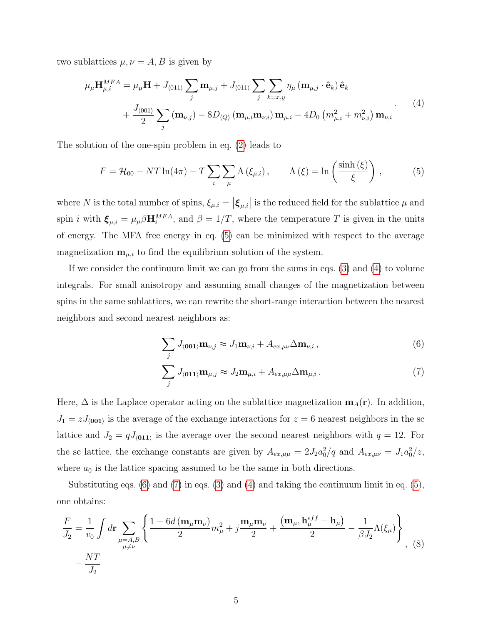two sublattices  $\mu, \nu = A, B$  is given by

$$
\mu_{\mu} \mathbf{H}^{MFA}_{\mu,i} = \mu_{\mu} \mathbf{H} + J_{\langle 011 \rangle} \sum_{j} \mathbf{m}_{\mu,j} + J_{\langle 011 \rangle} \sum_{j} \sum_{k=x,y} \eta_{\mu} (\mathbf{m}_{\mu,j} \cdot \hat{\mathbf{e}}_{k}) \hat{\mathbf{e}}_{k} + \frac{J_{\langle 001 \rangle}}{2} \sum_{j} (\mathbf{m}_{\nu,j}) - 8D_{\langle Q \rangle} (\mathbf{m}_{\mu,i} \mathbf{m}_{\nu,i}) \mathbf{m}_{\mu,i} - 4D_{0} (m_{\mu,i}^{2} + m_{\nu,i}^{2}) \mathbf{m}_{\nu,i}
$$
\n(4)

The solution of the one-spin problem in eq. [\(2\)](#page-3-1) leads to

<span id="page-4-1"></span><span id="page-4-0"></span>
$$
F = \mathcal{H}_{00} - NT\ln(4\pi) - T\sum_{i} \sum_{\mu} \Lambda(\xi_{\mu,i}), \qquad \Lambda(\xi) = \ln\left(\frac{\sinh(\xi)}{\xi}\right), \tag{5}
$$

where N is the total number of spins,  $\xi_{\mu,i} = |\xi_{\mu,i}|$  is the reduced field for the sublattice  $\mu$  and spin *i* with  $\xi_{\mu,i} = \mu_{\mu} \beta \mathbf{H}_i^{MFA}$ , and  $\beta = 1/T$ , where the temperature T is given in the units of energy. The MFA free energy in eq. [\(5\)](#page-4-0) can be minimized with respect to the average magnetization  $\mathbf{m}_{\mu,i}$  to find the equilibrium solution of the system.

If we consider the continuum limit we can go from the sums in eqs. [\(3\)](#page-3-2) and [\(4\)](#page-4-1) to volume integrals. For small anisotropy and assuming small changes of the magnetization between spins in the same sublattices, we can rewrite the short-range interaction between the nearest neighbors and second nearest neighbors as:

<span id="page-4-3"></span><span id="page-4-2"></span>
$$
\sum_{j} J_{\langle 001 \rangle} \mathbf{m}_{\nu,j} \approx J_1 \mathbf{m}_{\nu,i} + A_{ex,\mu\nu} \Delta \mathbf{m}_{\nu,i}, \qquad (6)
$$

$$
\sum_{j} J_{\langle \mathbf{011} \rangle} \mathbf{m}_{\mu,j} \approx J_2 \mathbf{m}_{\mu,i} + A_{ex,\mu\mu} \Delta \mathbf{m}_{\mu,i} \,. \tag{7}
$$

Here,  $\Delta$  is the Laplace operator acting on the sublattice magnetization  $m_A(r)$ . In addition,  $J_1 = z J_{\langle 001 \rangle}$  is the average of the exchange interactions for  $z = 6$  nearest neighbors in the sc lattice and  $J_2 = qJ_{(011)}$  is the average over the second nearest neighbors with  $q = 12$ . For the sc lattice, the exchange constants are given by  $A_{ex,\mu\mu} = 2J_2 a_0^2/q$  and  $A_{ex,\mu\nu} = J_1 a_0^2/z$ , where  $a_0$  is the lattice spacing assumed to be the same in both directions.

Substituting eqs.  $(6)$  and  $(7)$  in eqs.  $(3)$  and  $(4)$  and taking the continuum limit in eq.  $(5)$ , one obtains:

<span id="page-4-4"></span>
$$
\frac{F}{J_2} = \frac{1}{v_0} \int d\mathbf{r} \sum_{\mu=A,B} \left\{ \frac{1 - 6d \left( \mathbf{m}_{\mu} \mathbf{m}_{\nu} \right)}{2} m_{\mu}^2 + j \frac{\mathbf{m}_{\mu} \mathbf{m}_{\nu}}{2} + \frac{\left( \mathbf{m}_{\mu}, \mathbf{h}_{\mu}^{eff} - \mathbf{h}_{\mu} \right)}{2} - \frac{1}{\beta J_2} \Lambda(\xi_{\mu}) \right\}
$$
\n
$$
- \frac{NT}{J_2} \tag{8}
$$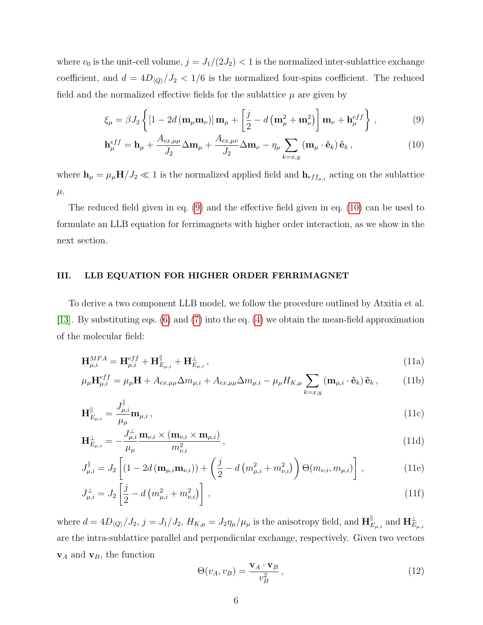where  $v_0$  is the unit-cell volume,  $j = J_1/(2J_2) < 1$  is the normalized inter-sublattice exchange coefficient, and  $d = 4D_{\langle Q \rangle}/J_2 < 1/6$  is the normalized four-spins coefficient. The reduced field and the normalized effective fields for the sublattice  $\mu$  are given by

<span id="page-5-0"></span>
$$
\xi_{\mu} = \beta J_2 \left\{ \left[ 1 - 2d \left( \mathbf{m}_{\mu} \mathbf{m}_{\nu} \right) \right] \mathbf{m}_{\mu} + \left[ \frac{j}{2} - d \left( \mathbf{m}_{\mu}^2 + \mathbf{m}_{\nu}^2 \right) \right] \mathbf{m}_{\nu} + \mathbf{h}_{\mu}^{eff} \right\},\tag{9}
$$

<span id="page-5-1"></span>
$$
\mathbf{h}_{\mu}^{eff} = \mathbf{h}_{\mu} + \frac{A_{ex,\mu\mu}}{J_2} \Delta \mathbf{m}_{\mu} + \frac{A_{ex,\mu\nu}}{J_2} \Delta \mathbf{m}_{\nu} - \eta_{\mu} \sum_{k=x,y} (\mathbf{m}_{\mu} \cdot \hat{\mathbf{e}}_k) \hat{\mathbf{e}}_k, \qquad (10)
$$

where  $h_{\mu} = \mu_{\mu} H/J_2 \ll 1$  is the normalized applied field and  $h_{eff_{\mu,i}}$  acting on the sublattice  $\mu$ .

The reduced field given in eq. [\(9\)](#page-5-0) and the effective field given in eq. [\(10\)](#page-5-1) can be used to formulate an LLB equation for ferrimagnets with higher order interaction, as we show in the next section.

#### <span id="page-5-5"></span>III. LLB EQUATION FOR HIGHER ORDER FERRIMAGNET

To derive a two component LLB model, we follow the procedure outlined by Atxitia et al. [\[13\]](#page-18-13). By substituting eqs. [\(6\)](#page-4-2) and [\(7\)](#page-4-3) into the eq. [\(4\)](#page-4-1) we obtain the mean-field approximation of the molecular field:

<span id="page-5-2"></span>
$$
\mathbf{H}_{\mu,i}^{MFA} = \mathbf{H}_{\mu,i}^{eff} + \mathbf{H}_{E_{\mu,i}}^{\parallel} + \mathbf{H}_{E_{\mu,i}}^{\perp}, \qquad (11a)
$$

$$
\mu_{\mu} \mathbf{H}^{eff}_{\mu,i} = \mu_{\mu} \mathbf{H} + A_{ex,\mu\mu} \Delta m_{\mu,i} + A_{ex,\mu\mu} \Delta m_{\mu,i} - \mu_{\mu} H_{K,\mu} \sum_{k=x,y} (\mathbf{m}_{\mu,i} \cdot \hat{\mathbf{e}}_k) \hat{\mathbf{e}}_k, \tag{11b}
$$

$$
\mathbf{H}_{E_{\mu,i}}^{\parallel} = \frac{J_{\mu,i}^{\parallel}}{\mu_{\mu}} \mathbf{m}_{\mu,i},
$$
\n(11c)

$$
\mathbf{H}_{E_{\mu,i}}^{\perp} = -\frac{J_{\mu,i}^{\perp}}{\mu_{\mu}} \frac{\mathbf{m}_{\nu,i} \times (\mathbf{m}_{\nu,i} \times \mathbf{m}_{\mu,i})}{m_{\nu,i}^{2}}, \qquad (11d)
$$

$$
J_{\mu,i}^{\parallel} = J_2 \left[ (1 - 2d \left( \mathbf{m}_{\mu,i} \mathbf{m}_{\nu,i} \right)) + \left( \frac{j}{2} - d \left( m_{\mu,i}^2 + m_{\nu,i}^2 \right) \right) \Theta(m_{\nu,i}, m_{\mu,i}) \right],
$$
(11e)

$$
J_{\mu,i}^{\perp} = J_2 \left[ \frac{j}{2} - d \left( m_{\mu,i}^2 + m_{\nu,i}^2 \right) \right], \tag{11f}
$$

where  $d = 4D_{\langle Q \rangle}/J_2$ ,  $j = J_1/J_2$ ,  $H_{K,\mu} = J_2 \eta_{\mu}/\mu_{\mu}$  is the anisotropy field, and  $\mathbf{H}_{F}^{\parallel}$  $_{E_{\mu,i}}^{\parallel}$  and  $\mathbf{H}_{E_{\mu,i}}^{\perp}$ are the intra-sublattice parallel and perpendicular exchange, respectively. Given two vectors  $\mathbf{v}_A$  and  $\mathbf{v}_B$ , the function

<span id="page-5-4"></span><span id="page-5-3"></span>
$$
\Theta(v_A, v_B) = \frac{\mathbf{v}_A \cdot \mathbf{v}_B}{v_B^2},\tag{12}
$$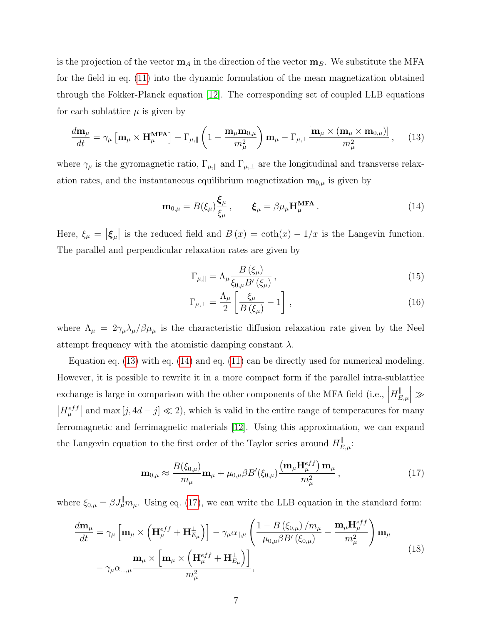is the projection of the vector  $\mathbf{m}_A$  in the direction of the vector  $\mathbf{m}_B$ . We substitute the MFA for the field in eq. [\(11\)](#page-5-2) into the dynamic formulation of the mean magnetization obtained through the Fokker-Planck equation [\[12\]](#page-18-12). The corresponding set of coupled LLB equations for each sublattice  $\mu$  is given by

<span id="page-6-0"></span>
$$
\frac{d\mathbf{m}_{\mu}}{dt} = \gamma_{\mu} \left[ \mathbf{m}_{\mu} \times \mathbf{H}_{\mu}^{\mathbf{MFA}} \right] - \Gamma_{\mu, \parallel} \left( 1 - \frac{\mathbf{m}_{\mu} \mathbf{m}_{0, \mu}}{m_{\mu}^2} \right) \mathbf{m}_{\mu} - \Gamma_{\mu, \perp} \frac{\left[ \mathbf{m}_{\mu} \times (\mathbf{m}_{\mu} \times \mathbf{m}_{0, \mu}) \right]}{m_{\mu}^2}, \quad (13)
$$

where  $\gamma_{\mu}$  is the gyromagnetic ratio,  $\Gamma_{\mu,\parallel}$  and  $\Gamma_{\mu,\perp}$  are the longitudinal and transverse relaxation rates, and the instantaneous equilibrium magnetization  $\mathbf{m}_{0,\mu}$  is given by

<span id="page-6-1"></span>
$$
\mathbf{m}_{0,\mu} = B(\xi_{\mu}) \frac{\boldsymbol{\xi}_{\mu}}{\xi_{\mu}}, \qquad \boldsymbol{\xi}_{\mu} = \beta \mu_{\mu} \mathbf{H}_{\mu}^{\text{MFA}}.
$$
 (14)

Here,  $\xi_{\mu} = |\xi_{\mu}|$  is the reduced field and  $B(x) = \coth(x) - 1/x$  is the Langevin function. The parallel and perpendicular relaxation rates are given by

$$
\Gamma_{\mu,\parallel} = \Lambda_{\mu} \frac{B(\xi_{\mu})}{\xi_{0,\mu} B'(\xi_{\mu})},\tag{15}
$$

$$
\Gamma_{\mu,\perp} = \frac{\Lambda_{\mu}}{2} \left[ \frac{\xi_{\mu}}{B(\xi_{\mu})} - 1 \right],
$$
\n(16)

where  $\Lambda_{\mu} = 2\gamma_{\mu} \lambda_{\mu}/\beta \mu_{\mu}$  is the characteristic diffusion relaxation rate given by the Neel attempt frequency with the atomistic damping constant  $\lambda$ .

Equation eq. [\(13\)](#page-6-0) with eq. [\(14\)](#page-6-1) and eq. [\(11\)](#page-5-2) can be directly used for numerical modeling. However, it is possible to rewrite it in a more compact form if the parallel intra-sublattice exchange is large in comparison with the other components of the MFA field (i.e.,  $\Big|$  $H_{F}^{\parallel}$  $\left\vert _{E,\mu }\right\vert \gg$  $|H_{\mu}^{eff}|$  and max  $[j, 4d - j] \ll 2$ , which is valid in the entire range of temperatures for many ferromagnetic and ferrimagnetic materials [\[12\]](#page-18-12). Using this approximation, we can expand the Langevin equation to the first order of the Taylor series around  $H_{E,\mu}^{\parallel}$ :

<span id="page-6-2"></span>
$$
\mathbf{m}_{0,\mu} \approx \frac{B(\xi_{0,\mu})}{m_{\mu}} \mathbf{m}_{\mu} + \mu_{0,\mu} \beta B'(\xi_{0,\mu}) \frac{\left(\mathbf{m}_{\mu} \mathbf{H}_{\mu}^{eff}\right) \mathbf{m}_{\mu}}{m_{\mu}^{2}},
$$
(17)

where  $\xi_{0,\mu} = \beta J^{\parallel}_{\mu} m_{\mu}$ . Using eq. [\(17\)](#page-6-2), we can write the LLB equation in the standard form:

<span id="page-6-3"></span>
$$
\frac{d\mathbf{m}_{\mu}}{dt} = \gamma_{\mu} \left[ \mathbf{m}_{\mu} \times \left( \mathbf{H}_{\mu}^{eff} + \mathbf{H}_{E_{\mu}}^{\perp} \right) \right] - \gamma_{\mu} \alpha_{\parallel, \mu} \left( \frac{1 - B \left( \xi_{0, \mu} \right) / m_{\mu}}{\mu_{0, \mu} \beta B' \left( \xi_{0, \mu} \right)} - \frac{\mathbf{m}_{\mu} \mathbf{H}_{\mu}^{eff}}{m_{\mu}^2} \right) \mathbf{m}_{\mu} \n- \gamma_{\mu} \alpha_{\perp, \mu} \frac{\mathbf{m}_{\mu} \times \left[ \mathbf{m}_{\mu} \times \left( \mathbf{H}_{\mu}^{eff} + \mathbf{H}_{E_{\mu}}^{\perp} \right) \right]}{m_{\mu}^2},
$$
\n(18)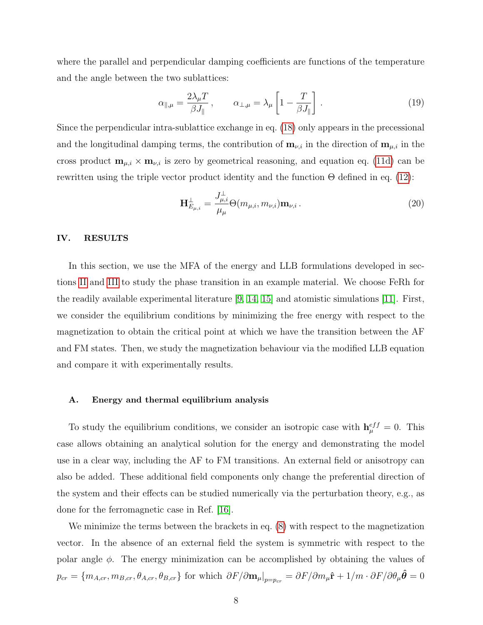where the parallel and perpendicular damping coefficients are functions of the temperature and the angle between the two sublattices:

$$
\alpha_{\parallel,\mu} = \frac{2\lambda_{\mu}T}{\beta J_{\parallel}}, \qquad \alpha_{\perp,\mu} = \lambda_{\mu} \left[ 1 - \frac{T}{\beta J_{\parallel}} \right]. \tag{19}
$$

Since the perpendicular intra-sublattice exchange in eq. [\(18\)](#page-6-3) only appears in the precessional and the longitudinal damping terms, the contribution of  $\mathbf{m}_{\nu,i}$  in the direction of  $\mathbf{m}_{\mu,i}$  in the cross product  $\mathbf{m}_{\mu,i} \times \mathbf{m}_{\nu,i}$  is zero by geometrical reasoning, and equation eq. [\(11d\)](#page-5-3) can be rewritten using the triple vector product identity and the function Θ defined in eq. [\(12\)](#page-5-4):

$$
\mathbf{H}_{E_{\mu,i}}^{\perp} = \frac{J_{\mu,i}^{\perp}}{\mu_{\mu}} \Theta(m_{\mu,i}, m_{\nu,i}) \mathbf{m}_{\nu,i} .
$$
 (20)

#### IV. RESULTS

In this section, we use the MFA of the energy and LLB formulations developed in sections [II](#page-2-1) and [III](#page-5-5) to study the phase transition in an example material. We choose FeRh for the readily available experimental literature [\[9,](#page-18-9) [14,](#page-18-14) [15\]](#page-18-15) and atomistic simulations [\[11\]](#page-18-11). First, we consider the equilibrium conditions by minimizing the free energy with respect to the magnetization to obtain the critical point at which we have the transition between the AF and FM states. Then, we study the magnetization behaviour via the modified LLB equation and compare it with experimentally results.

#### <span id="page-7-0"></span>A. Energy and thermal equilibrium analysis

To study the equilibrium conditions, we consider an isotropic case with  $h_{\mu}^{eff} = 0$ . This case allows obtaining an analytical solution for the energy and demonstrating the model use in a clear way, including the AF to FM transitions. An external field or anisotropy can also be added. These additional field components only change the preferential direction of the system and their effects can be studied numerically via the perturbation theory, e.g., as done for the ferromagnetic case in Ref. [\[16\]](#page-18-16).

We minimize the terms between the brackets in eq.  $(8)$  with respect to the magnetization vector. In the absence of an external field the system is symmetric with respect to the polar angle  $\phi$ . The energy minimization can be accomplished by obtaining the values of  $p_{cr} = \{m_{A,cr}, m_{B,cr}, \theta_{A,cr}, \theta_{B,cr}\}\$  for which  $\left.\partial F/\partial \mathbf{m}_{\mu}\right|_{p=p_{cr}} = \partial F/\partial m_{\mu}\hat{\mathbf{r}} + 1/m \cdot \partial F/\partial \theta_{\mu}\hat{\boldsymbol{\theta}} = 0$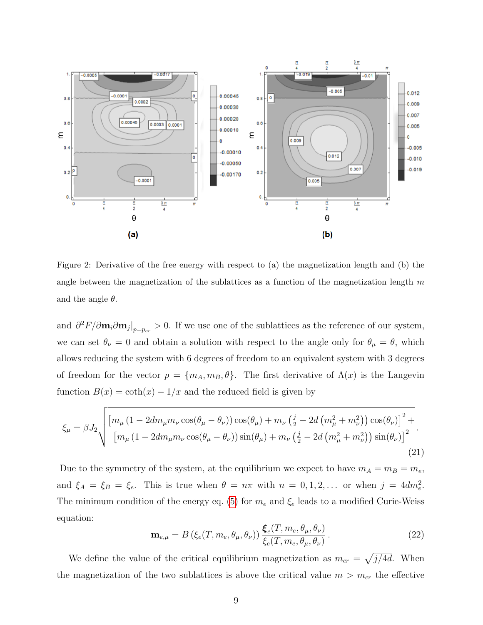

<span id="page-8-0"></span>Figure 2: Derivative of the free energy with respect to (a) the magnetization length and (b) the angle between the magnetization of the sublattices as a function of the magnetization length  $m$ and the angle  $\theta$ .

and  $\partial^2 F/\partial \mathbf{m}_i \partial \mathbf{m}_j|_{p=p_{cr}} > 0$ . If we use one of the sublattices as the reference of our system, we can set  $\theta_{\nu} = 0$  and obtain a solution with respect to the angle only for  $\theta_{\mu} = \theta$ , which allows reducing the system with 6 degrees of freedom to an equivalent system with 3 degrees of freedom for the vector  $p = \{m_A, m_B, \theta\}$ . The first derivative of  $\Lambda(x)$  is the Langevin function  $B(x) = \coth(x) - 1/x$  and the reduced field is given by

$$
\xi_{\mu} = \beta J_2 \sqrt{\frac{\left[m_{\mu} (1 - 2dm_{\mu} m_{\nu} \cos(\theta_{\mu} - \theta_{\nu})) \cos(\theta_{\mu}) + m_{\nu} (\frac{j}{2} - 2d \left(m_{\mu}^2 + m_{\nu}^2\right)) \cos(\theta_{\nu})\right]^2 + \left[m_{\mu} (1 - 2dm_{\mu} m_{\nu} \cos(\theta_{\mu} - \theta_{\nu})) \sin(\theta_{\mu}) + m_{\nu} (\frac{j}{2} - 2d \left(m_{\mu}^2 + m_{\nu}^2\right)) \sin(\theta_{\nu})\right]^2}.
$$
\n(21)

Due to the symmetry of the system, at the equilibrium we expect to have  $m_A = m_B = m_e$ , and  $\xi_A = \xi_B = \xi_e$ . This is true when  $\theta = n\pi$  with  $n = 0, 1, 2, \dots$  or when  $j = 4dm_e^2$ . The minimum condition of the energy eq. [\(5\)](#page-4-0) for  $m_e$  and  $\xi_e$  leads to a modified Curie-Weiss equation:

$$
\mathbf{m}_{e,\mu} = B\left(\xi_e(T, m_e, \theta_\mu, \theta_\nu)\right) \frac{\boldsymbol{\xi}_e(T, m_e, \theta_\mu, \theta_\nu)}{\xi_e(T, m_e, \theta_\mu, \theta_\nu)}.
$$
\n(22)

We define the value of the critical equilibrium magnetization as  $m_{cr} = \sqrt{j/4d}$ . When the magnetization of the two sublattices is above the critical value  $m > m_{cr}$  the effective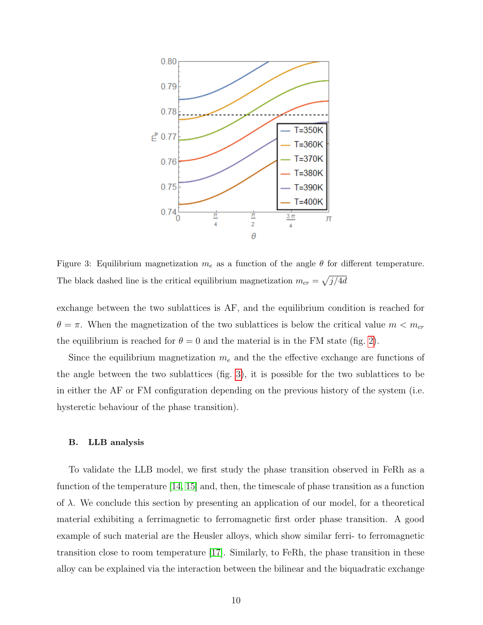

<span id="page-9-0"></span>Figure 3: Equilibrium magnetization  $m_e$  as a function of the angle  $\theta$  for different temperature. The black dashed line is the critical equilibrium magnetization  $m_{cr} = \sqrt{j/4d}$ 

exchange between the two sublattices is AF, and the equilibrium condition is reached for  $\theta = \pi$ . When the magnetization of the two sublattices is below the critical value  $m < m_{cr}$ the equilibrium is reached for  $\theta = 0$  and the material is in the FM state (fig. [2\)](#page-8-0).

Since the equilibrium magnetization  $m_e$  and the the effective exchange are functions of the angle between the two sublattices (fig. [3\)](#page-9-0), it is possible for the two sublattices to be in either the AF or FM configuration depending on the previous history of the system (i.e. hysteretic behaviour of the phase transition).

#### B. LLB analysis

To validate the LLB model, we first study the phase transition observed in FeRh as a function of the temperature [\[14,](#page-18-14) [15\]](#page-18-15) and, then, the timescale of phase transition as a function of  $\lambda$ . We conclude this section by presenting an application of our model, for a theoretical material exhibiting a ferrimagnetic to ferromagnetic first order phase transition. A good example of such material are the Heusler alloys, which show similar ferri- to ferromagnetic transition close to room temperature [\[17\]](#page-18-17). Similarly, to FeRh, the phase transition in these alloy can be explained via the interaction between the bilinear and the biquadratic exchange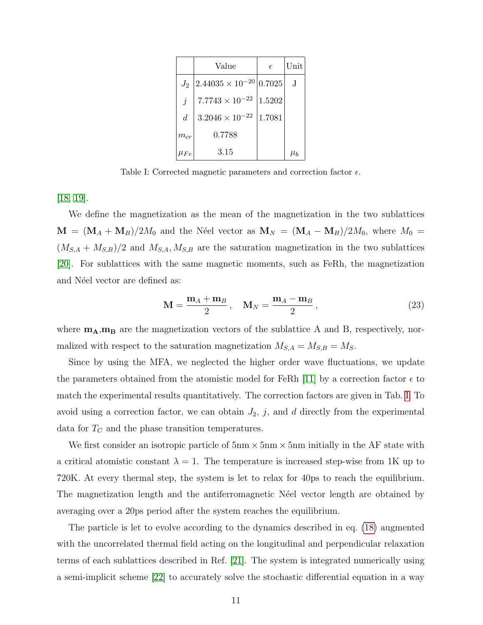|                | Value                             | $\epsilon$ | Unit       |
|----------------|-----------------------------------|------------|------------|
| $J_2$          | $2.44035 \times 10^{-20}  0.7025$ |            | $_{\rm J}$ |
| $\dot{\jmath}$ | $7.7743 \times 10^{-22}$          | 1.5202     |            |
| d              | $3.2046 \times 10^{-22}$          | 1.7081     |            |
| $m_{cr}$       | 0.7788                            |            |            |
|                | 3.15                              |            | $\mu_b$    |

<span id="page-10-0"></span>Table I: Corrected magnetic parameters and correction factor  $\epsilon$ .

[\[18,](#page-18-18) [19\]](#page-19-0).

We define the magnetization as the mean of the magnetization in the two sublattices  $\mathbf{M} = (\mathbf{M}_A + \mathbf{M}_B)/2M_0$  and the Néel vector as  $\mathbf{M}_N = (\mathbf{M}_A - \mathbf{M}_B)/2M_0$ , where  $M_0 =$  $(M_{S,A} + M_{S,B})/2$  and  $M_{S,A}, M_{S,B}$  are the saturation magnetization in the two sublattices [\[20\]](#page-19-1). For sublattices with the same magnetic moments, such as FeRh, the magnetization and Néel vector are defined as:

$$
\mathbf{M} = \frac{\mathbf{m}_A + \mathbf{m}_B}{2}, \quad \mathbf{M}_N = \frac{\mathbf{m}_A - \mathbf{m}_B}{2}, \tag{23}
$$

where  $\mathbf{m}_{\mathbf{A}}, \mathbf{m}_{\mathbf{B}}$  are the magnetization vectors of the sublattice A and B, respectively, normalized with respect to the saturation magnetization  $M_{S,A} = M_{S,B} = M_S$ .

Since by using the MFA, we neglected the higher order wave fluctuations, we update the parameters obtained from the atomistic model for FeRh [\[11\]](#page-18-11) by a correction factor  $\epsilon$  to match the experimental results quantitatively. The correction factors are given in Tab. [I.](#page-10-0) To avoid using a correction factor, we can obtain  $J_2$ , j, and d directly from the experimental data for  $T_{\text{C}}$  and the phase transition temperatures.

We first consider an isotropic particle of  $5nm \times 5nm \times 5nm$  initially in the AF state with a critical atomistic constant  $\lambda = 1$ . The temperature is increased step-wise from 1K up to 720K. At every thermal step, the system is let to relax for 40ps to reach the equilibrium. The magnetization length and the antiferromagnetic Net vector length are obtained by averaging over a 20ps period after the system reaches the equilibrium.

The particle is let to evolve according to the dynamics described in eq. [\(18\)](#page-6-3) augmented with the uncorrelated thermal field acting on the longitudinal and perpendicular relaxation terms of each sublattices described in Ref. [\[21\]](#page-19-2). The system is integrated numerically using a semi-implicit scheme [\[22\]](#page-19-3) to accurately solve the stochastic differential equation in a way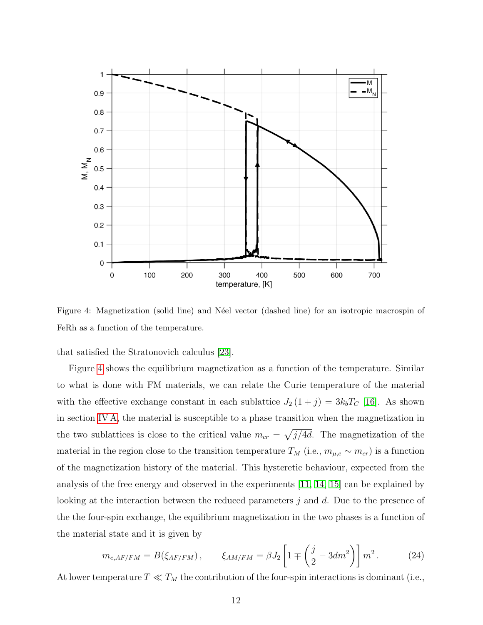

<span id="page-11-0"></span>Figure 4: Magnetization (solid line) and Néel vector (dashed line) for an isotropic macrospin of FeRh as a function of the temperature.

that satisfied the Stratonovich calculus [\[23\]](#page-19-4).

Figure [4](#page-11-0) shows the equilibrium magnetization as a function of the temperature. Similar to what is done with FM materials, we can relate the Curie temperature of the material with the effective exchange constant in each sublattice  $J_2(1+j) = 3k_bT_C$  [\[16\]](#page-18-16). As shown in section [IV A,](#page-7-0) the material is susceptible to a phase transition when the magnetization in the two sublattices is close to the critical value  $m_{cr} = \sqrt{j/4d}$ . The magnetization of the material in the region close to the transition temperature  $T_M$  (i.e.,  $m_{\mu,e} \sim m_{cr}$ ) is a function of the magnetization history of the material. This hysteretic behaviour, expected from the analysis of the free energy and observed in the experiments [\[11,](#page-18-11) [14,](#page-18-14) [15\]](#page-18-15) can be explained by looking at the interaction between the reduced parameters j and d. Due to the presence of the the four-spin exchange, the equilibrium magnetization in the two phases is a function of the material state and it is given by

$$
m_{e,AF/FM} = B(\xi_{AF/FM}), \qquad \xi_{AM/FM} = \beta J_2 \left[ 1 \mp \left( \frac{j}{2} - 3dm^2 \right) \right] m^2. \tag{24}
$$

At lower temperature  $T \ll T_M$  the contribution of the four-spin interactions is dominant (i.e.,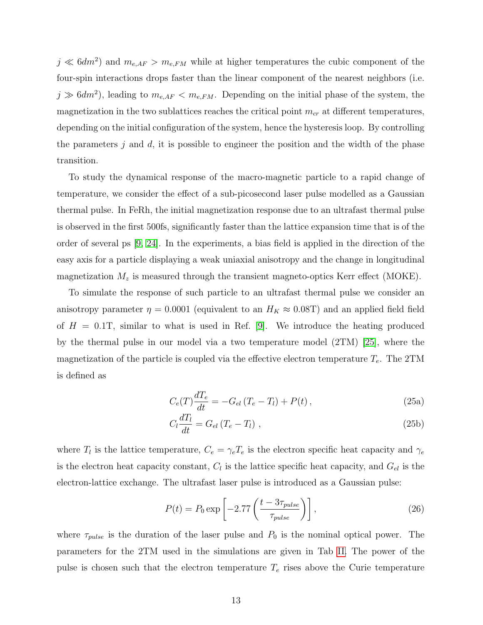$j \ll 6dm^2$  and  $m_{e,AF} > m_{e,FM}$  while at higher temperatures the cubic component of the four-spin interactions drops faster than the linear component of the nearest neighbors (i.e.  $j \gg 6dm^2$ , leading to  $m_{e,AF} < m_{e,FM}$ . Depending on the initial phase of the system, the magnetization in the two sublattices reaches the critical point  $m_{cr}$  at different temperatures, depending on the initial configuration of the system, hence the hysteresis loop. By controlling the parameters j and  $d$ , it is possible to engineer the position and the width of the phase transition.

To study the dynamical response of the macro-magnetic particle to a rapid change of temperature, we consider the effect of a sub-picosecond laser pulse modelled as a Gaussian thermal pulse. In FeRh, the initial magnetization response due to an ultrafast thermal pulse is observed in the first 500fs, significantly faster than the lattice expansion time that is of the order of several ps [\[9,](#page-18-9) [24\]](#page-19-5). In the experiments, a bias field is applied in the direction of the easy axis for a particle displaying a weak uniaxial anisotropy and the change in longitudinal magnetization  $M_z$  is measured through the transient magneto-optics Kerr effect (MOKE).

To simulate the response of such particle to an ultrafast thermal pulse we consider an anisotropy parameter  $\eta = 0.0001$  (equivalent to an  $H_K \approx 0.08$ T) and an applied field field of  $H = 0.1$ T, similar to what is used in Ref. [\[9\]](#page-18-9). We introduce the heating produced by the thermal pulse in our model via a two temperature model (2TM) [\[25\]](#page-19-6), where the magnetization of the particle is coupled via the effective electron temperature  $T_e$ . The 2TM is defined as

<span id="page-12-0"></span>
$$
C_e(T)\frac{dT_e}{dt} = -G_{el}(T_e - T_l) + P(t),
$$
\n(25a)

$$
C_l \frac{dT_l}{dt} = G_{el} \left( T_e - T_l \right) , \qquad (25b)
$$

where  $T_l$  is the lattice temperature,  $C_e = \gamma_e T_e$  is the electron specific heat capacity and  $\gamma_e$ is the electron heat capacity constant,  $C_l$  is the lattice specific heat capacity, and  $G_{el}$  is the electron-lattice exchange. The ultrafast laser pulse is introduced as a Gaussian pulse:

$$
P(t) = P_0 \exp\left[-2.77 \left(\frac{t - 3\tau_{pulse}}{\tau_{pulse}}\right)\right],\tag{26}
$$

where  $\tau_{pulse}$  is the duration of the laser pulse and  $P_0$  is the nominal optical power. The parameters for the 2TM used in the simulations are given in Tab [II.](#page-13-0) The power of the pulse is chosen such that the electron temperature  $T_e$  rises above the Curie temperature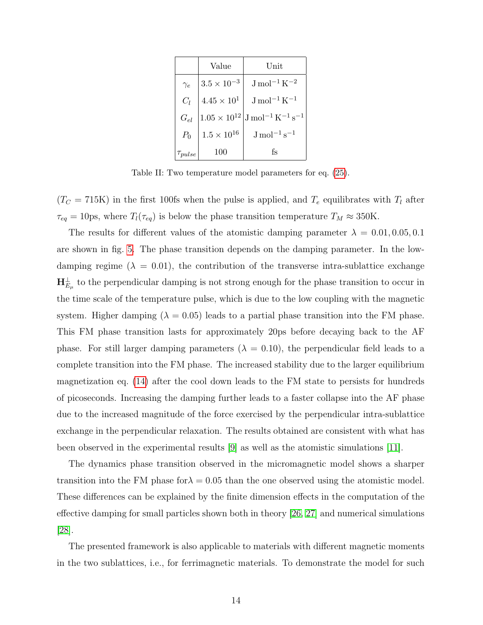|            | Value                | Unit                                                                              |
|------------|----------------------|-----------------------------------------------------------------------------------|
| $\gamma_e$ | $3.5 \times 10^{-3}$ | $\rm J\,mol^{-1}\,K^{-2}$                                                         |
| $C_l$      | $4.45 \times 10^{1}$ | $\rm J\,mol^{-1}\,K^{-1}$                                                         |
| $G_{el}$   |                      | $1.05\times 10^{12} \vert\text{J}\,\text{mol}^{-1}\,\text{K}^{-1}\,\text{s}^{-1}$ |
| $P_0$      | $1.5\times10^{16}$   | $\rm J\,mol^{-1}\,s^{-1}$                                                         |
| ' pulse    | 100                  | fs                                                                                |

<span id="page-13-0"></span>Table II: Two temperature model parameters for eq. [\(25\)](#page-12-0).

 $(T<sub>C</sub> = 715K)$  in the first 100fs when the pulse is applied, and  $T<sub>e</sub>$  equilibrates with  $T<sub>l</sub>$  after  $\tau_{eq} = 10 \text{ps}$ , where  $T_l(\tau_{eq})$  is below the phase transition temperature  $T_M \approx 350 \text{K}$ .

The results for different values of the atomistic damping parameter  $\lambda = 0.01, 0.05, 0.1$ are shown in fig. [5.](#page-14-0) The phase transition depends on the damping parameter. In the lowdamping regime ( $\lambda = 0.01$ ), the contribution of the transverse intra-sublattice exchange  $H_{E_\mu}^\perp$  to the perpendicular damping is not strong enough for the phase transition to occur in the time scale of the temperature pulse, which is due to the low coupling with the magnetic system. Higher damping ( $\lambda = 0.05$ ) leads to a partial phase transition into the FM phase. This FM phase transition lasts for approximately 20ps before decaying back to the AF phase. For still larger damping parameters ( $\lambda = 0.10$ ), the perpendicular field leads to a complete transition into the FM phase. The increased stability due to the larger equilibrium magnetization eq. [\(14\)](#page-6-1) after the cool down leads to the FM state to persists for hundreds of picoseconds. Increasing the damping further leads to a faster collapse into the AF phase due to the increased magnitude of the force exercised by the perpendicular intra-sublattice exchange in the perpendicular relaxation. The results obtained are consistent with what has been observed in the experimental results [\[9\]](#page-18-9) as well as the atomistic simulations [\[11\]](#page-18-11).

The dynamics phase transition observed in the micromagnetic model shows a sharper transition into the FM phase for  $\lambda = 0.05$  than the one observed using the atomistic model. These differences can be explained by the finite dimension effects in the computation of the effective damping for small particles shown both in theory [\[26,](#page-19-7) [27\]](#page-19-8) and numerical simulations [\[28\]](#page-19-9).

The presented framework is also applicable to materials with different magnetic moments in the two sublattices, i.e., for ferrimagnetic materials. To demonstrate the model for such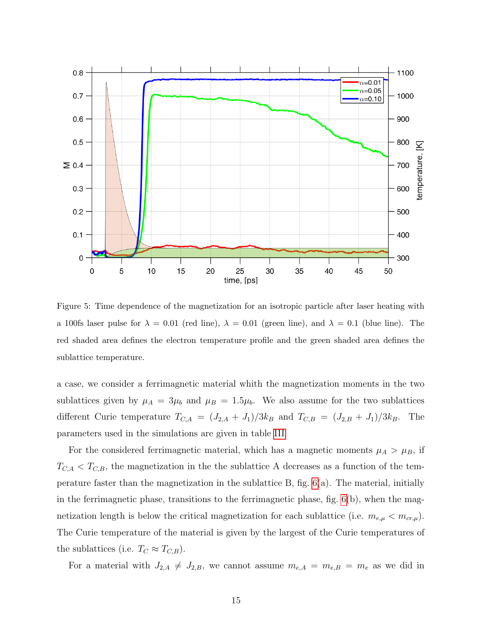

<span id="page-14-0"></span>Figure 5: Time dependence of the magnetization for an isotropic particle after laser heating with a 100fs laser pulse for  $\lambda = 0.01$  (red line),  $\lambda = 0.01$  (green line), and  $\lambda = 0.1$  (blue line). The red shaded area defines the electron temperature profile and the green shaded area defines the sublattice temperature.

a case, we consider a ferrimagnetic material whith the magnetization moments in the two sublattices given by  $\mu_A = 3\mu_b$  and  $\mu_B = 1.5\mu_b$ . We also assume for the two sublattices different Curie temperature  $T_{C,A} = (J_{2,A} + J_1)/3k_B$  and  $T_{C,B} = (J_{2,B} + J_1)/3k_B$ . The parameters used in the simulations are given in table [III.](#page-15-0)

For the considered ferrimagnetic material, which has a magnetic moments  $\mu_A > \mu_B$ , if  $T_{C,A} < T_{C,B}$ , the magnetization in the the sublattice A decreases as a function of the temperature faster than the magnetization in the sublattice B, fig. [6\(](#page-16-0)a). The material, initially in the ferrimagnetic phase, transitions to the ferrimagnetic phase, fig.  $6(b)$ , when the magnetization length is below the critical magnetization for each sublattice (i.e.  $m_{e,\mu} < m_{cr,\mu}$ ). The Curie temperature of the material is given by the largest of the Curie temperatures of the sublattices (i.e.  $T_C \approx T_{C,B}$ ).

For a material with  $J_{2,A} \neq J_{2,B}$ , we cannot assume  $m_{e,A} = m_{e,B} = m_e$  as we did in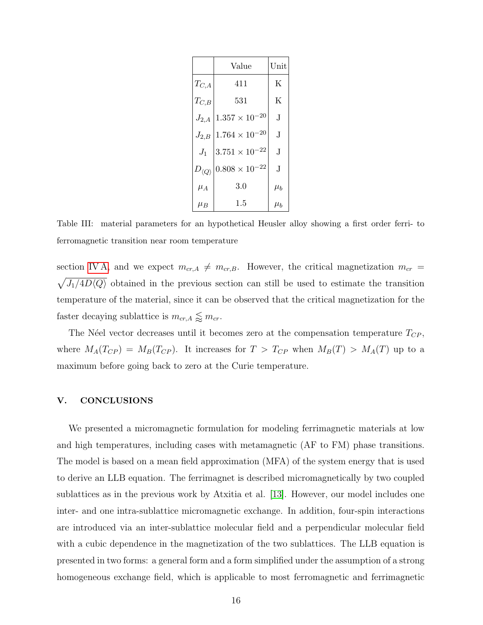|                         | Value                   | Unit    |
|-------------------------|-------------------------|---------|
| $T_{C,A}$               | 411                     | Κ       |
| $T_{C,B}$               | 531                     | K       |
| $J_{2,A}$               | $1.357 \times 10^{-20}$ | J.      |
| $J_{2,B}$               | $1.764\times10^{-20}$   | J.      |
| $J_1$                   | $3.751\times10^{-22}$   | J       |
| $D_{\langle Q \rangle}$ | $0.808 \times 10^{-22}$ | J.      |
| $\mu_A$                 | 3.0                     | $\mu_b$ |
| $\mu_B$                 | 1.5                     | $\mu_b$ |

<span id="page-15-0"></span>Table III: material parameters for an hypothetical Heusler alloy showing a first order ferri- to ferromagnetic transition near room temperature

section [IV A,](#page-7-0) and we expect  $m_{cr,A} \neq m_{cr,B}$ . However, the critical magnetization  $m_{cr}$  =  $\sqrt{J_1/4D\langle Q\rangle}$  obtained in the previous section can still be used to estimate the transition temperature of the material, since it can be observed that the critical magnetization for the faster decaying sublattice is  $m_{cr,A} \lessapprox m_{cr}.$ 

The Néel vector decreases until it becomes zero at the compensation temperature  $T_{CP}$ , where  $M_A(T_{CP}) = M_B(T_{CP})$ . It increases for  $T > T_{CP}$  when  $M_B(T) > M_A(T)$  up to a maximum before going back to zero at the Curie temperature.

#### V. CONCLUSIONS

We presented a micromagnetic formulation for modeling ferrimagnetic materials at low and high temperatures, including cases with metamagnetic (AF to FM) phase transitions. The model is based on a mean field approximation (MFA) of the system energy that is used to derive an LLB equation. The ferrimagnet is described micromagnetically by two coupled sublattices as in the previous work by Atxitia et al. [\[13\]](#page-18-13). However, our model includes one inter- and one intra-sublattice micromagnetic exchange. In addition, four-spin interactions are introduced via an inter-sublattice molecular field and a perpendicular molecular field with a cubic dependence in the magnetization of the two sublattices. The LLB equation is presented in two forms: a general form and a form simplified under the assumption of a strong homogeneous exchange field, which is applicable to most ferromagnetic and ferrimagnetic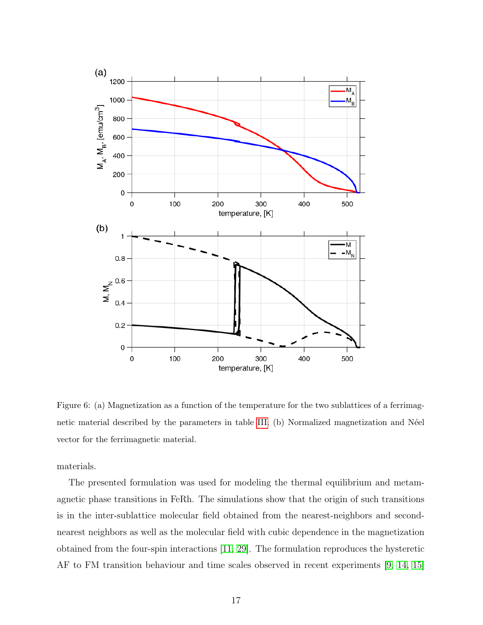

<span id="page-16-0"></span>Figure 6: (a) Magnetization as a function of the temperature for the two sublattices of a ferrimag-netic material described by the parameters in table [III.](#page-15-0) (b) Normalized magnetization and Néel vector for the ferrimagnetic material.

materials.

The presented formulation was used for modeling the thermal equilibrium and metamagnetic phase transitions in FeRh. The simulations show that the origin of such transitions is in the inter-sublattice molecular field obtained from the nearest-neighbors and secondnearest neighbors as well as the molecular field with cubic dependence in the magnetization obtained from the four-spin interactions [\[11,](#page-18-11) [29\]](#page-19-10). The formulation reproduces the hysteretic AF to FM transition behaviour and time scales observed in recent experiments [\[9,](#page-18-9) [14,](#page-18-14) [15\]](#page-18-15)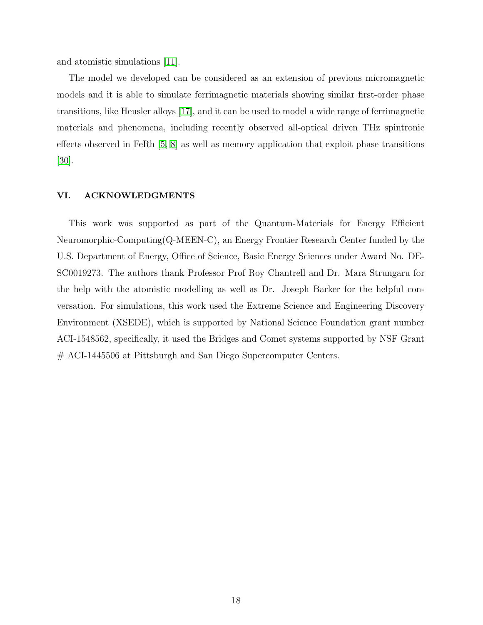and atomistic simulations [\[11\]](#page-18-11).

The model we developed can be considered as an extension of previous micromagnetic models and it is able to simulate ferrimagnetic materials showing similar first-order phase transitions, like Heusler alloys [\[17\]](#page-18-17), and it can be used to model a wide range of ferrimagnetic materials and phenomena, including recently observed all-optical driven THz spintronic effects observed in FeRh [\[5,](#page-18-5) [8\]](#page-18-8) as well as memory application that exploit phase transitions [\[30\]](#page-19-11).

#### VI. ACKNOWLEDGMENTS

This work was supported as part of the Quantum-Materials for Energy Efficient Neuromorphic-Computing(Q-MEEN-C), an Energy Frontier Research Center funded by the U.S. Department of Energy, Office of Science, Basic Energy Sciences under Award No. DE-SC0019273. The authors thank Professor Prof Roy Chantrell and Dr. Mara Strungaru for the help with the atomistic modelling as well as Dr. Joseph Barker for the helpful conversation. For simulations, this work used the Extreme Science and Engineering Discovery Environment (XSEDE), which is supported by National Science Foundation grant number ACI-1548562, specifically, it used the Bridges and Comet systems supported by NSF Grant # ACI-1445506 at Pittsburgh and San Diego Supercomputer Centers.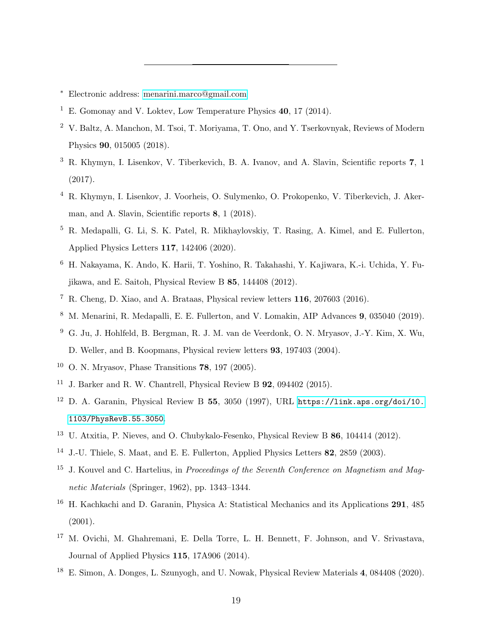- <span id="page-18-0"></span><sup>∗</sup> Electronic address: [menarini.marco@gmail.com](mailto:menarini.marco@gmail.com)
- <span id="page-18-1"></span><sup>1</sup> E. Gomonay and V. Loktey, Low Temperature Physics  $40.17$  (2014).
- <span id="page-18-2"></span><sup>2</sup> V. Baltz, A. Manchon, M. Tsoi, T. Moriyama, T. Ono, and Y. Tserkovnyak, Reviews of Modern Physics 90, 015005 (2018).
- <span id="page-18-3"></span><sup>3</sup> R. Khymyn, I. Lisenkov, V. Tiberkevich, B. A. Ivanov, and A. Slavin, Scientific reports 7, 1 (2017).
- <span id="page-18-4"></span><sup>4</sup> R. Khymyn, I. Lisenkov, J. Voorheis, O. Sulymenko, O. Prokopenko, V. Tiberkevich, J. Akerman, and A. Slavin, Scientific reports 8, 1 (2018).
- <span id="page-18-5"></span><sup>5</sup> R. Medapalli, G. Li, S. K. Patel, R. Mikhaylovskiy, T. Rasing, A. Kimel, and E. Fullerton, Applied Physics Letters 117, 142406 (2020).
- <span id="page-18-6"></span><sup>6</sup> H. Nakayama, K. Ando, K. Harii, T. Yoshino, R. Takahashi, Y. Kajiwara, K.-i. Uchida, Y. Fujikawa, and E. Saitoh, Physical Review B 85, 144408 (2012).
- <span id="page-18-7"></span><sup>7</sup> R. Cheng, D. Xiao, and A. Brataas, Physical review letters 116, 207603 (2016).
- <span id="page-18-8"></span><sup>8</sup> M. Menarini, R. Medapalli, E. E. Fullerton, and V. Lomakin, AIP Advances 9, 035040 (2019).
- <span id="page-18-9"></span><sup>9</sup> G. Ju, J. Hohlfeld, B. Bergman, R. J. M. van de Veerdonk, O. N. Mryasov, J.-Y. Kim, X. Wu, D. Weller, and B. Koopmans, Physical review letters 93, 197403 (2004).
- <span id="page-18-10"></span> $10$  O. N. Mryasov, Phase Transitions 78, 197 (2005).
- <span id="page-18-11"></span><sup>11</sup> J. Barker and R. W. Chantrell, Physical Review B  $92$ , 094402 (2015).
- <span id="page-18-12"></span><sup>12</sup> D. A. Garanin, Physical Review B 55, 3050 (1997), URL [https://link.aps.org/doi/10.](https://link.aps.org/doi/10.1103/PhysRevB.55.3050) [1103/PhysRevB.55.3050](https://link.aps.org/doi/10.1103/PhysRevB.55.3050).
- <span id="page-18-13"></span><sup>13</sup> U. Atxitia, P. Nieves, and O. Chubykalo-Fesenko, Physical Review B 86, 104414 (2012).
- <span id="page-18-14"></span><sup>14</sup> J.-U. Thiele, S. Maat, and E. E. Fullerton, Applied Physics Letters 82, 2859 (2003).
- <span id="page-18-15"></span><sup>15</sup> J. Kouvel and C. Hartelius, in *Proceedings of the Seventh Conference on Magnetism and Mag*netic Materials (Springer, 1962), pp. 1343–1344.
- <span id="page-18-16"></span><sup>16</sup> H. Kachkachi and D. Garanin, Physica A: Statistical Mechanics and its Applications **291**, 485 (2001).
- <span id="page-18-17"></span><sup>17</sup> M. Ovichi, M. Ghahremani, E. Della Torre, L. H. Bennett, F. Johnson, and V. Srivastava, Journal of Applied Physics 115, 17A906 (2014).
- <span id="page-18-18"></span><sup>18</sup> E. Simon, A. Donges, L. Szunyogh, and U. Nowak, Physical Review Materials 4, 084408 (2020).